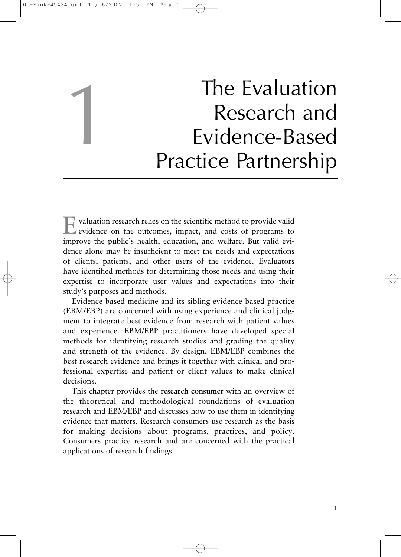# The Evaluation<br>Research and<br>Evidence-Based<br>Practice Partnership Research and Evidence-Based Practice Partnership

Evaluation research relies on the scientific method to provide valid  $\omega$  evidence on the outcomes, impact, and costs of programs to improve the public's health, education, and welfare. But valid evidence alone may be insufficient to meet the needs and expectations of clients, patients, and other users of the evidence. Evaluators have identified methods for determining those needs and using their expertise to incorporate user values and expectations into their study's purposes and methods.

Evidence-based medicine and its sibling evidence-based practice (EBM/EBP) are concerned with using experience and clinical judgment to integrate best evidence from research with patient values and experience. EBM/EBP practitioners have developed special methods for identifying research studies and grading the quality and strength of the evidence. By design, EBM/EBP combines the best research evidence and brings it together with clinical and professional expertise and patient or client values to make clinical decisions.

This chapter provides the **research consumer** with an overview of the theoretical and methodological foundations of evaluation research and EBM/EBP and discusses how to use them in identifying evidence that matters. Research consumers use research as the basis for making decisions about programs, practices, and policy. Consumers practice research and are concerned with the practical applications of research findings.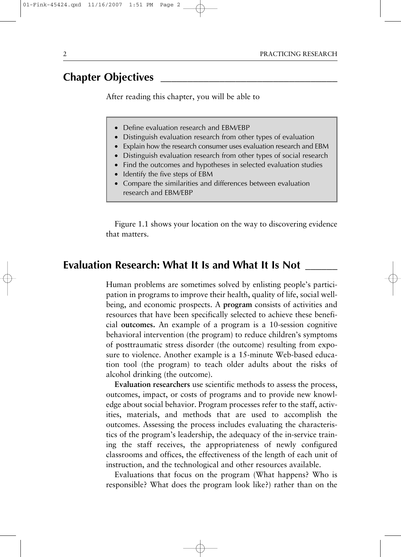# **Chapter Objectives \_\_\_\_\_\_\_\_\_\_\_\_\_\_\_\_\_\_\_\_\_\_\_\_\_\_\_\_\_\_\_\_\_**

After reading this chapter, you will be able to

- Define evaluation research and EBM/EBP
- Distinguish evaluation research from other types of evaluation
- Explain how the research consumer uses evaluation research and EBM
- Distinguish evaluation research from other types of social research
- Find the outcomes and hypotheses in selected evaluation studies
- Identify the five steps of EBM
- Compare the similarities and differences between evaluation research and EBM/EBP

Figure 1.1 shows your location on the way to discovering evidence that matters.

# **Evaluation Research: What It Is and What It Is Not \_\_\_\_\_\_**

Human problems are sometimes solved by enlisting people's participation in programs to improve their health, quality of life, social wellbeing, and economic prospects. A **program** consists of activities and resources that have been specifically selected to achieve these beneficial **outcomes.** An example of a program is a 10-session cognitive behavioral intervention (the program) to reduce children's symptoms of posttraumatic stress disorder (the outcome) resulting from exposure to violence. Another example is a 15-minute Web-based education tool (the program) to teach older adults about the risks of alcohol drinking (the outcome).

**Evaluation researchers** use scientific methods to assess the process, outcomes, impact, or costs of programs and to provide new knowledge about social behavior. Program processes refer to the staff, activities, materials, and methods that are used to accomplish the outcomes. Assessing the process includes evaluating the characteristics of the program's leadership, the adequacy of the in-service training the staff receives, the appropriateness of newly configured classrooms and offices, the effectiveness of the length of each unit of instruction, and the technological and other resources available.

Evaluations that focus on the program (What happens? Who is responsible? What does the program look like?) rather than on the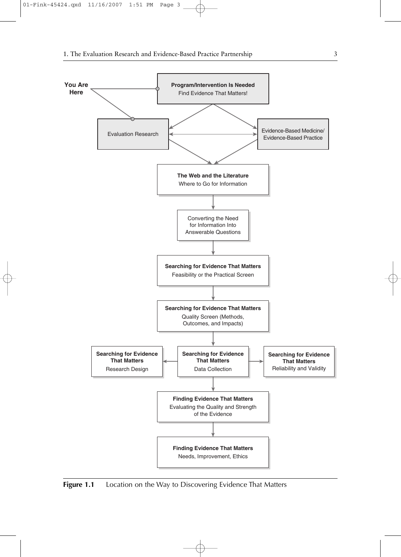





Figure 1.1 Location on the Way to Discovering Evidence That Matters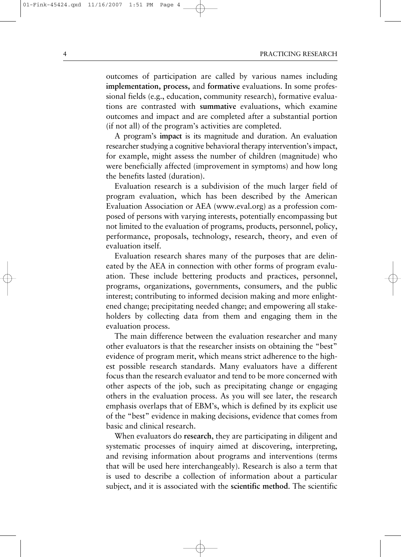outcomes of participation are called by various names including **implementation, process,** and **formative** evaluations. In some professional fields (e.g., education, community research), formative evaluations are contrasted with **summative** evaluations, which examine outcomes and impact and are completed after a substantial portion (if not all) of the program's activities are completed.

A program's **impact** is its magnitude and duration. An evaluation researcher studying a cognitive behavioral therapy intervention's impact, for example, might assess the number of children (magnitude) who were beneficially affected (improvement in symptoms) and how long the benefits lasted (duration).

Evaluation research is a subdivision of the much larger field of program evaluation, which has been described by the American Evaluation Association or AEA (www.eval.org) as a profession composed of persons with varying interests, potentially encompassing but not limited to the evaluation of programs, products, personnel, policy, performance, proposals, technology, research, theory, and even of evaluation itself.

Evaluation research shares many of the purposes that are delineated by the AEA in connection with other forms of program evaluation. These include bettering products and practices, personnel, programs, organizations, governments, consumers, and the public interest; contributing to informed decision making and more enlightened change; precipitating needed change; and empowering all stakeholders by collecting data from them and engaging them in the evaluation process.

The main difference between the evaluation researcher and many other evaluators is that the researcher insists on obtaining the "best" evidence of program merit, which means strict adherence to the highest possible research standards. Many evaluators have a different focus than the research evaluator and tend to be more concerned with other aspects of the job, such as precipitating change or engaging others in the evaluation process. As you will see later, the research emphasis overlaps that of EBM's, which is defined by its explicit use of the "best" evidence in making decisions, evidence that comes from basic and clinical research.

When evaluators do **research**, they are participating in diligent and systematic processes of inquiry aimed at discovering, interpreting, and revising information about programs and interventions (terms that will be used here interchangeably). Research is also a term that is used to describe a collection of information about a particular subject, and it is associated with the **scientific method**. The scientific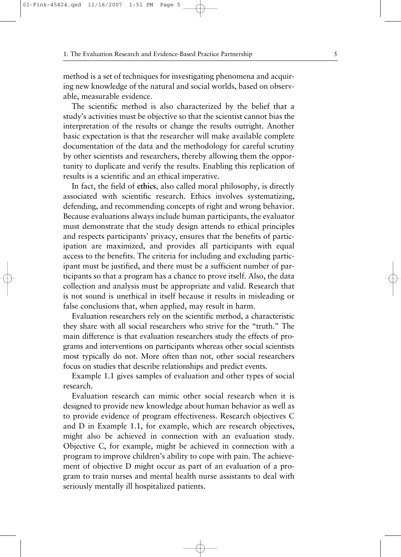method is a set of techniques for investigating phenomena and acquiring new knowledge of the natural and social worlds, based on observable, measurable evidence.

The scientific method is also characterized by the belief that a study's activities must be objective so that the scientist cannot bias the interpretation of the results or change the results outright. Another basic expectation is that the researcher will make available complete documentation of the data and the methodology for careful scrutiny by other scientists and researchers, thereby allowing them the opportunity to duplicate and verify the results. Enabling this replication of results is a scientific and an ethical imperative.

In fact, the field of **ethics**, also called moral philosophy, is directly associated with scientific research. Ethics involves systematizing, defending, and recommending concepts of right and wrong behavior. Because evaluations always include human participants, the evaluator must demonstrate that the study design attends to ethical principles and respects participants' privacy, ensures that the benefits of participation are maximized, and provides all participants with equal access to the benefits. The criteria for including and excluding participant must be justified, and there must be a sufficient number of participants so that a program has a chance to prove itself. Also, the data collection and analysis must be appropriate and valid. Research that is not sound is unethical in itself because it results in misleading or false conclusions that, when applied, may result in harm.

Evaluation researchers rely on the scientific method, a characteristic they share with all social researchers who strive for the "truth." The main difference is that evaluation researchers study the effects of programs and interventions on participants whereas other social scientists most typically do not. More often than not, other social researchers focus on studies that describe relationships and predict events.

Example 1.1 gives samples of evaluation and other types of social research.

Evaluation research can mimic other social research when it is designed to provide new knowledge about human behavior as well as to provide evidence of program effectiveness. Research objectives C and D in Example 1.1, for example, which are research objectives, might also be achieved in connection with an evaluation study. Objective C, for example, might be achieved in connection with a program to improve children's ability to cope with pain. The achievement of objective D might occur as part of an evaluation of a program to train nurses and mental health nurse assistants to deal with seriously mentally ill hospitalized patients.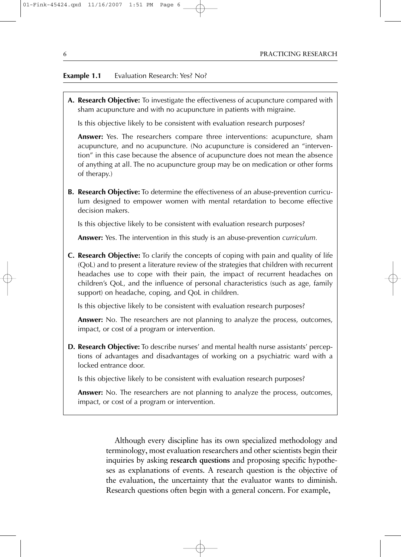#### **Example 1.1** Evaluation Research: Yes? No?

**A. Research Objective:** To investigate the effectiveness of acupuncture compared with sham acupuncture and with no acupuncture in patients with migraine.

Is this objective likely to be consistent with evaluation research purposes?

**Answer:** Yes. The researchers compare three interventions: acupuncture, sham acupuncture, and no acupuncture. (No acupuncture is considered an "intervention" in this case because the absence of acupuncture does not mean the absence of anything at all. The no acupuncture group may be on medication or other forms of therapy.)

**B. Research Objective:** To determine the effectiveness of an abuse-prevention curriculum designed to empower women with mental retardation to become effective decision makers.

Is this objective likely to be consistent with evaluation research purposes?

**Answer:** Yes. The intervention in this study is an abuse-prevention *curriculum.*

**C. Research Objective:** To clarify the concepts of coping with pain and quality of life (QoL) and to present a literature review of the strategies that children with recurrent headaches use to cope with their pain, the impact of recurrent headaches on children's QoL, and the influence of personal characteristics (such as age, family support) on headache, coping, and QoL in children.

Is this objective likely to be consistent with evaluation research purposes?

**Answer:** No. The researchers are not planning to analyze the process, outcomes, impact, or cost of a program or intervention.

**D. Research Objective:** To describe nurses' and mental health nurse assistants' perceptions of advantages and disadvantages of working on a psychiatric ward with a locked entrance door.

Is this objective likely to be consistent with evaluation research purposes?

**Answer:** No. The researchers are not planning to analyze the process, outcomes, impact, or cost of a program or intervention.

> Although every discipline has its own specialized methodology and terminology, most evaluation researchers and other scientists begin their inquiries by asking **research questions** and proposing specific hypotheses as explanations of events. A research question is the objective of the evaluation, the uncertainty that the evaluator wants to diminish. Research questions often begin with a general concern. For example,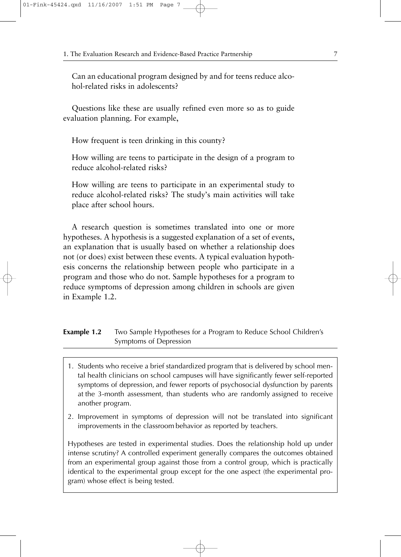Can an educational program designed by and for teens reduce alcohol-related risks in adolescents?

Questions like these are usually refined even more so as to guide evaluation planning. For example,

How frequent is teen drinking in this county?

How willing are teens to participate in the design of a program to reduce alcohol-related risks?

How willing are teens to participate in an experimental study to reduce alcohol-related risks? The study's main activities will take place after school hours.

A research question is sometimes translated into one or more hypotheses. A hypothesis is a suggested explanation of a set of events, an explanation that is usually based on whether a relationship does not (or does) exist between these events. A typical evaluation hypothesis concerns the relationship between people who participate in a program and those who do not. Sample hypotheses for a program to reduce symptoms of depression among children in schools are given in Example 1.2.

### **Example 1.2** Two Sample Hypotheses for a Program to Reduce School Children's Symptoms of Depression

- 1. Students who receive a brief standardized program that is delivered by school mental health clinicians on school campuses will have significantly fewer self-reported symptoms of depression, and fewer reports of psychosocial dysfunction by parents at the 3-month assessment, than students who are randomly assigned to receive another program.
- 2. Improvement in symptoms of depression will not be translated into significant improvements in the classroom behavior as reported by teachers.

Hypotheses are tested in experimental studies. Does the relationship hold up under intense scrutiny? A controlled experiment generally compares the outcomes obtained from an experimental group against those from a control group, which is practically identical to the experimental group except for the one aspect (the experimental program) whose effect is being tested.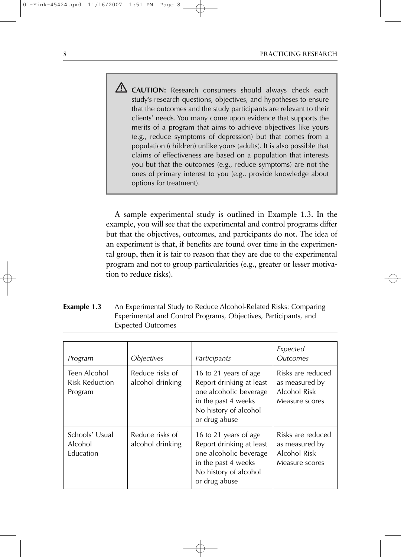**CAUTION:** Research consumers should always check each study's research questions, objectives, and hypotheses to ensure that the outcomes and the study participants are relevant to their clients' needs. You many come upon evidence that supports the merits of a program that aims to achieve objectives like yours (e.g., reduce symptoms of depression) but that comes from a population (children) unlike yours (adults). It is also possible that claims of effectiveness are based on a population that interests you but that the outcomes (e.g., reduce symptoms) are not the ones of primary interest to you (e.g., provide knowledge about options for treatment).

A sample experimental study is outlined in Example 1.3. In the example, you will see that the experimental and control programs differ but that the objectives, outcomes, and participants do not. The idea of an experiment is that, if benefits are found over time in the experimental group, then it is fair to reason that they are due to the experimental program and not to group particularities (e.g., greater or lesser motivation to reduce risks).

### **Example 1.3** An Experimental Study to Reduce Alcohol-Related Risks: Comparing Experimental and Control Programs, Objectives, Participants, and Expected Outcomes

| Program                                          | <b>Objectives</b>                   | Participants                                                                                                                                 | Expected<br>Outcomes                                                         |
|--------------------------------------------------|-------------------------------------|----------------------------------------------------------------------------------------------------------------------------------------------|------------------------------------------------------------------------------|
| Teen Alcohol<br><b>Risk Reduction</b><br>Program | Reduce risks of<br>alcohol drinking | 16 to 21 years of age<br>Report drinking at least<br>one alcoholic beverage<br>in the past 4 weeks<br>No history of alcohol<br>or drug abuse | Risks are reduced<br>as measured by<br><b>Alcohol Risk</b><br>Measure scores |
| Schools' Usual<br>Alcohol<br>Education           | Reduce risks of<br>alcohol drinking | 16 to 21 years of age<br>Report drinking at least<br>one alcoholic beverage<br>in the past 4 weeks<br>No history of alcohol<br>or drug abuse | Risks are reduced<br>as measured by<br><b>Alcohol Risk</b><br>Measure scores |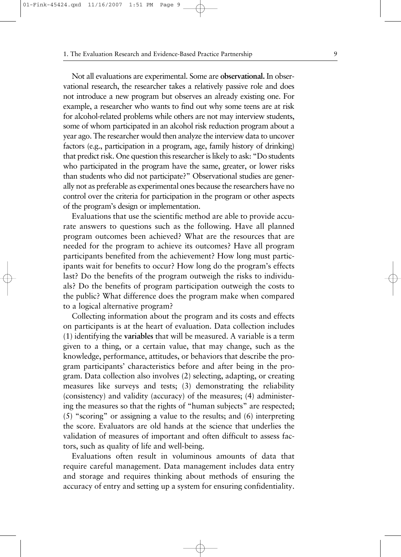

Not all evaluations are experimental. Some are **observational.** In observational research, the researcher takes a relatively passive role and does not introduce a new program but observes an already existing one. For example, a researcher who wants to find out why some teens are at risk for alcohol-related problems while others are not may interview students, some of whom participated in an alcohol risk reduction program about a year ago. The researcher would then analyze the interview data to uncover factors (e.g., participation in a program, age, family history of drinking) that predict risk. One question this researcher is likely to ask: "Do students who participated in the program have the same, greater, or lower risks than students who did not participate?" Observational studies are generally not as preferable as experimental ones because the researchers have no control over the criteria for participation in the program or other aspects of the program's design or implementation.

Evaluations that use the scientific method are able to provide accurate answers to questions such as the following. Have all planned program outcomes been achieved? What are the resources that are needed for the program to achieve its outcomes? Have all program participants benefited from the achievement? How long must participants wait for benefits to occur? How long do the program's effects last? Do the benefits of the program outweigh the risks to individuals? Do the benefits of program participation outweigh the costs to the public? What difference does the program make when compared to a logical alternative program?

Collecting information about the program and its costs and effects on participants is at the heart of evaluation. Data collection includes (1) identifying the **variables** that will be measured. A variable is a term given to a thing, or a certain value, that may change, such as the knowledge, performance, attitudes, or behaviors that describe the program participants' characteristics before and after being in the program. Data collection also involves (2) selecting, adapting, or creating measures like surveys and tests; (3) demonstrating the reliability (consistency) and validity (accuracy) of the measures; (4) administering the measures so that the rights of "human subjects" are respected; (5) "scoring" or assigning a value to the results; and (6) interpreting the score. Evaluators are old hands at the science that underlies the validation of measures of important and often difficult to assess factors, such as quality of life and well-being.

Evaluations often result in voluminous amounts of data that require careful management. Data management includes data entry and storage and requires thinking about methods of ensuring the accuracy of entry and setting up a system for ensuring confidentiality.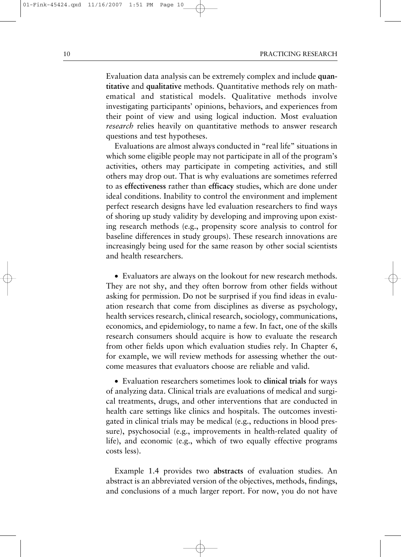Evaluation data analysis can be extremely complex and include **quantitative** and **qualitative** methods. Quantitative methods rely on mathematical and statistical models. Qualitative methods involve investigating participants' opinions, behaviors, and experiences from their point of view and using logical induction. Most evaluation *research* relies heavily on quantitative methods to answer research questions and test hypotheses.

Evaluations are almost always conducted in "real life" situations in which some eligible people may not participate in all of the program's activities, others may participate in competing activities, and still others may drop out. That is why evaluations are sometimes referred to as **effectiveness** rather than **efficacy** studies, which are done under ideal conditions. Inability to control the environment and implement perfect research designs have led evaluation researchers to find ways of shoring up study validity by developing and improving upon existing research methods (e.g., propensity score analysis to control for baseline differences in study groups). These research innovations are increasingly being used for the same reason by other social scientists and health researchers.

• Evaluators are always on the lookout for new research methods. They are not shy, and they often borrow from other fields without asking for permission. Do not be surprised if you find ideas in evaluation research that come from disciplines as diverse as psychology, health services research, clinical research, sociology, communications, economics, and epidemiology, to name a few. In fact, one of the skills research consumers should acquire is how to evaluate the research from other fields upon which evaluation studies rely. In Chapter 6, for example, we will review methods for assessing whether the outcome measures that evaluators choose are reliable and valid.

• Evaluation researchers sometimes look to **clinical trials** for ways of analyzing data. Clinical trials are evaluations of medical and surgical treatments, drugs, and other interventions that are conducted in health care settings like clinics and hospitals. The outcomes investigated in clinical trials may be medical (e.g., reductions in blood pressure), psychosocial (e.g., improvements in health-related quality of life), and economic (e.g., which of two equally effective programs costs less).

Example 1.4 provides two **abstracts** of evaluation studies. An abstract is an abbreviated version of the objectives, methods, findings, and conclusions of a much larger report. For now, you do not have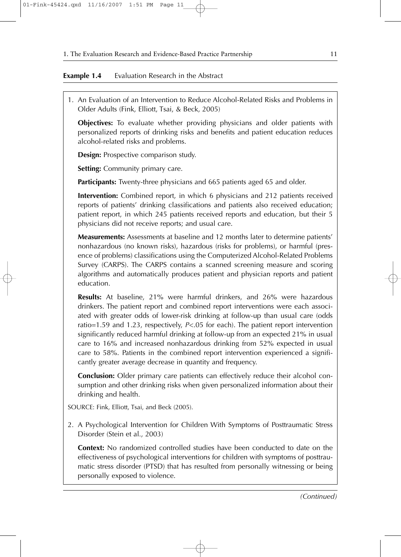

#### **Example 1.4** Evaluation Research in the Abstract

1. An Evaluation of an Intervention to Reduce Alcohol-Related Risks and Problems in Older Adults (Fink, Elliott, Tsai, & Beck, 2005)

**Objectives:** To evaluate whether providing physicians and older patients with personalized reports of drinking risks and benefits and patient education reduces alcohol-related risks and problems.

**Design:** Prospective comparison study.

**Setting:** Community primary care.

**Participants:** Twenty-three physicians and 665 patients aged 65 and older.

**Intervention:** Combined report, in which 6 physicians and 212 patients received reports of patients' drinking classifications and patients also received education; patient report, in which 245 patients received reports and education, but their 5 physicians did not receive reports; and usual care.

**Measurements:** Assessments at baseline and 12 months later to determine patients' nonhazardous (no known risks), hazardous (risks for problems), or harmful (presence of problems) classifications using the Computerized Alcohol-Related Problems Survey (CARPS). The CARPS contains a scanned screening measure and scoring algorithms and automatically produces patient and physician reports and patient education.

**Results:** At baseline, 21% were harmful drinkers, and 26% were hazardous drinkers. The patient report and combined report interventions were each associated with greater odds of lower-risk drinking at follow-up than usual care (odds ratio=1.59 and 1.23, respectively, *P*<.05 for each). The patient report intervention significantly reduced harmful drinking at follow-up from an expected 21% in usual care to 16% and increased nonhazardous drinking from 52% expected in usual care to 58%. Patients in the combined report intervention experienced a significantly greater average decrease in quantity and frequency.

**Conclusion:** Older primary care patients can effectively reduce their alcohol consumption and other drinking risks when given personalized information about their drinking and health.

SOURCE: Fink, Elliott, Tsai, and Beck (2005).

2. A Psychological Intervention for Children With Symptoms of Posttraumatic Stress Disorder (Stein et al., 2003)

**Context:** No randomized controlled studies have been conducted to date on the effectiveness of psychological interventions for children with symptoms of posttraumatic stress disorder (PTSD) that has resulted from personally witnessing or being personally exposed to violence.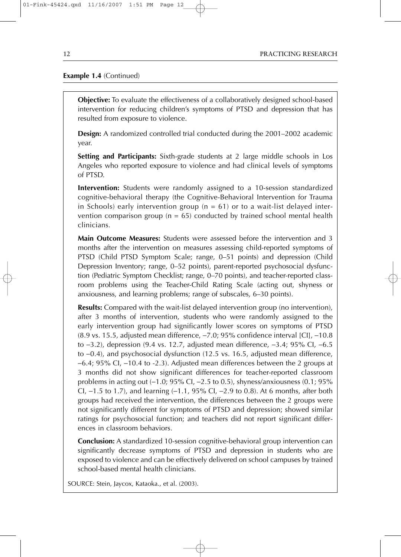#### 01-Fink-45424.qxd 11/16/2007 1:51 PM Page 12

### **Example 1.4** (Continued)

**Objective:** To evaluate the effectiveness of a collaboratively designed school-based intervention for reducing children's symptoms of PTSD and depression that has resulted from exposure to violence.

**Design:** A randomized controlled trial conducted during the 2001–2002 academic year.

**Setting and Participants:** Sixth-grade students at 2 large middle schools in Los Angeles who reported exposure to violence and had clinical levels of symptoms of PTSD.

**Intervention:** Students were randomly assigned to a 10-session standardized cognitive-behavioral therapy (the Cognitive-Behavioral Intervention for Trauma in Schools) early intervention group ( $n = 61$ ) or to a wait-list delayed intervention comparison group ( $n = 65$ ) conducted by trained school mental health clinicians.

**Main Outcome Measures:** Students were assessed before the intervention and 3 months after the intervention on measures assessing child-reported symptoms of PTSD (Child PTSD Symptom Scale; range, 0–51 points) and depression (Child Depression Inventory; range, 0–52 points), parent-reported psychosocial dysfunction (Pediatric Symptom Checklist; range, 0–70 points), and teacher-reported classroom problems using the Teacher-Child Rating Scale (acting out, shyness or anxiousness, and learning problems; range of subscales, 6–30 points).

**Results:** Compared with the wait-list delayed intervention group (no intervention), after 3 months of intervention, students who were randomly assigned to the early intervention group had significantly lower scores on symptoms of PTSD (8.9 vs. 15.5, adjusted mean difference, −7.0; 95% confidence interval [CI], −10.8 to −3.2), depression (9.4 vs. 12.7, adjusted mean difference, −3.4; 95% CI, −6.5 to −0.4), and psychosocial dysfunction (12.5 vs. 16.5, adjusted mean difference, −6.4; 95% CI, −10.4 to -2.3). Adjusted mean differences between the 2 groups at 3 months did not show significant differences for teacher-reported classroom problems in acting out (−1.0; 95% CI, −2.5 to 0.5), shyness/anxiousness (0.1; 95% CI,  $-1.5$  to 1.7), and learning  $(-1.1, 95\%$  CI,  $-2.9$  to 0.8). At 6 months, after both groups had received the intervention, the differences between the 2 groups were not significantly different for symptoms of PTSD and depression; showed similar ratings for psychosocial function; and teachers did not report significant differences in classroom behaviors.

**Conclusion:** A standardized 10-session cognitive-behavioral group intervention can significantly decrease symptoms of PTSD and depression in students who are exposed to violence and can be effectively delivered on school campuses by trained school-based mental health clinicians.

SOURCE: Stein, Jaycox, Kataoka., et al. (2003).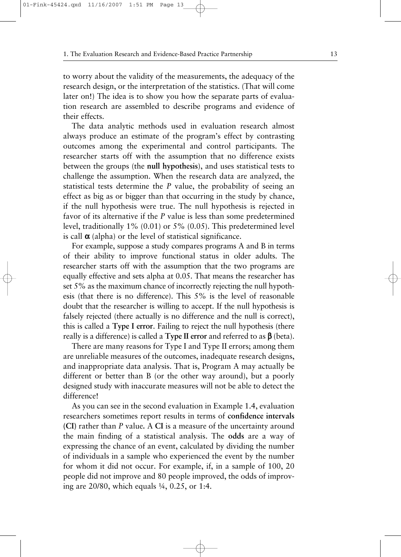to worry about the validity of the measurements, the adequacy of the research design, or the interpretation of the statistics. (That will come later on!) The idea is to show you how the separate parts of evaluation research are assembled to describe programs and evidence of their effects.

The data analytic methods used in evaluation research almost always produce an estimate of the program's effect by contrasting outcomes among the experimental and control participants. The researcher starts off with the assumption that no difference exists between the groups (the **null hypothesis**), and uses statistical tests to challenge the assumption. When the research data are analyzed, the statistical tests determine the *P* value, the probability of seeing an effect as big as or bigger than that occurring in the study by chance, if the null hypothesis were true. The null hypothesis is rejected in favor of its alternative if the *P* value is less than some predetermined level, traditionally 1% (0.01) or 5% (0.05). This predetermined level is call  $\alpha$  (alpha) or the level of statistical significance.

For example, suppose a study compares programs A and B in terms of their ability to improve functional status in older adults. The researcher starts off with the assumption that the two programs are equally effective and sets alpha at 0.05. That means the researcher has set 5% as the maximum chance of incorrectly rejecting the null hypothesis (that there is no difference). This 5% is the level of reasonable doubt that the researcher is willing to accept. If the null hypothesis is falsely rejected (there actually is no difference and the null is correct), this is called a **Type I error**. Failing to reject the null hypothesis (there really is a difference) is called a **Type II error** and referred to as β (beta).

There are many reasons for Type I and Type II errors; among them are unreliable measures of the outcomes, inadequate research designs, and inappropriate data analysis. That is, Program A may actually be different or better than B (or the other way around), but a poorly designed study with inaccurate measures will not be able to detect the difference!

As you can see in the second evaluation in Example 1.4, evaluation researchers sometimes report results in terms of **confidence intervals (CI)** rather than *P* value*.* A **CI** is a measure of the uncertainty around the main finding of a statistical analysis. The **odds** are a way of expressing the chance of an event, calculated by dividing the number of individuals in a sample who experienced the event by the number for whom it did not occur. For example, if, in a sample of 100, 20 people did not improve and 80 people improved, the odds of improving are 20/80, which equals ¼, 0.25, or 1:4.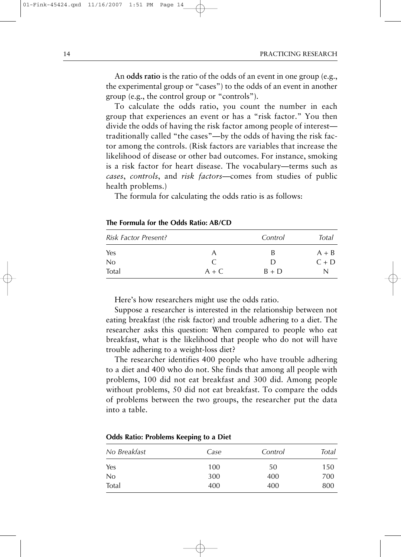An **odds ratio** is the ratio of the odds of an event in one group (e.g., the experimental group or "cases") to the odds of an event in another group (e.g., the control group or "controls").

To calculate the odds ratio, you count the number in each group that experiences an event or has a "risk factor." You then divide the odds of having the risk factor among people of interest traditionally called "the cases"—by the odds of having the risk factor among the controls. (Risk factors are variables that increase the likelihood of disease or other bad outcomes. For instance, smoking is a risk factor for heart disease. The vocabulary—terms such as *cases*, *controls*, and *risk factors*—comes from studies of public health problems.)

The formula for calculating the odds ratio is as follows:

| Risk Factor Present? |         | Control<br>Total |         |
|----------------------|---------|------------------|---------|
| Yes                  |         | В                | $A + B$ |
| <b>No</b>            |         | Ð                | $C + D$ |
| Total                | $A + C$ | $B + D$          |         |

### **The Formula for the Odds Ratio: AB/CD**

Here's how researchers might use the odds ratio.

Suppose a researcher is interested in the relationship between not eating breakfast (the risk factor) and trouble adhering to a diet. The researcher asks this question: When compared to people who eat breakfast, what is the likelihood that people who do not will have trouble adhering to a weight-loss diet?

The researcher identifies 400 people who have trouble adhering to a diet and 400 who do not. She finds that among all people with problems, 100 did not eat breakfast and 300 did. Among people without problems, 50 did not eat breakfast. To compare the odds of problems between the two groups, the researcher put the data into a table.

#### **Odds Ratio: Problems Keeping to a Diet**

| No Breakfast   | Case | Control | Total |
|----------------|------|---------|-------|
| Yes            | 100  | 50      | 150   |
| N <sub>o</sub> | 300  | 400     | 700   |
| Total          | 400  | 400     | 800   |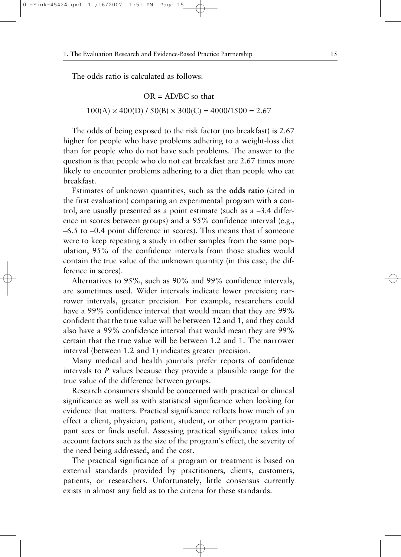

The odds ratio is calculated as follows:

OR = AD/BC so that  
 
$$
100(A) \times 400(D) / 50(B) \times 300(C) = 4000/1500 = 2.67
$$

The odds of being exposed to the risk factor (no breakfast) is 2.67 higher for people who have problems adhering to a weight-loss diet than for people who do not have such problems. The answer to the question is that people who do not eat breakfast are 2.67 times more likely to encounter problems adhering to a diet than people who eat breakfast.

Estimates of unknown quantities, such as the **odds ratio** (cited in the first evaluation) comparing an experimental program with a control, are usually presented as a point estimate (such as  $a - 3.4$  difference in scores between groups) and a 95% confidence interval (e.g., –6.5 to –0.4 point difference in scores). This means that if someone were to keep repeating a study in other samples from the same population, 95% of the confidence intervals from those studies would contain the true value of the unknown quantity (in this case, the difference in scores).

Alternatives to 95%, such as 90% and 99% confidence intervals, are sometimes used. Wider intervals indicate lower precision; narrower intervals, greater precision. For example, researchers could have a 99% confidence interval that would mean that they are 99% confident that the true value will be between 12 and 1, and they could also have a 99% confidence interval that would mean they are 99% certain that the true value will be between 1.2 and 1. The narrower interval (between 1.2 and 1) indicates greater precision.

Many medical and health journals prefer reports of confidence intervals to *P* values because they provide a plausible range for the true value of the difference between groups.

Research consumers should be concerned with practical or clinical significance as well as with statistical significance when looking for evidence that matters. Practical significance reflects how much of an effect a client, physician, patient, student, or other program participant sees or finds useful. Assessing practical significance takes into account factors such as the size of the program's effect, the severity of the need being addressed, and the cost.

The practical significance of a program or treatment is based on external standards provided by practitioners, clients, customers, patients, or researchers. Unfortunately, little consensus currently exists in almost any field as to the criteria for these standards.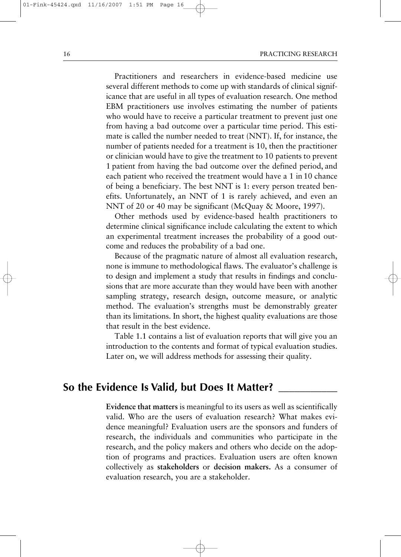Practitioners and researchers in evidence-based medicine use several different methods to come up with standards of clinical significance that are useful in all types of evaluation research. One method EBM practitioners use involves estimating the number of patients who would have to receive a particular treatment to prevent just one from having a bad outcome over a particular time period. This estimate is called the number needed to treat (NNT). If, for instance, the number of patients needed for a treatment is 10, then the practitioner or clinician would have to give the treatment to 10 patients to prevent 1 patient from having the bad outcome over the defined period, and each patient who received the treatment would have a 1 in 10 chance of being a beneficiary. The best NNT is 1: every person treated benefits. Unfortunately, an NNT of 1 is rarely achieved, and even an NNT of 20 or 40 may be significant (McQuay & Moore, 1997).

Other methods used by evidence-based health practitioners to determine clinical significance include calculating the extent to which an experimental treatment increases the probability of a good outcome and reduces the probability of a bad one.

Because of the pragmatic nature of almost all evaluation research, none is immune to methodological flaws. The evaluator's challenge is to design and implement a study that results in findings and conclusions that are more accurate than they would have been with another sampling strategy, research design, outcome measure, or analytic method. The evaluation's strengths must be demonstrably greater than its limitations. In short, the highest quality evaluations are those that result in the best evidence.

Table 1.1 contains a list of evaluation reports that will give you an introduction to the contents and format of typical evaluation studies. Later on, we will address methods for assessing their quality.

# So the Evidence Is Valid, but Does It Matter?

**Evidence that matters** is meaningful to its users as well as scientifically valid. Who are the users of evaluation research? What makes evidence meaningful? Evaluation users are the sponsors and funders of research, the individuals and communities who participate in the research, and the policy makers and others who decide on the adoption of programs and practices. Evaluation users are often known collectively as **stakeholders** or **decision makers.** As a consumer of evaluation research, you are a stakeholder.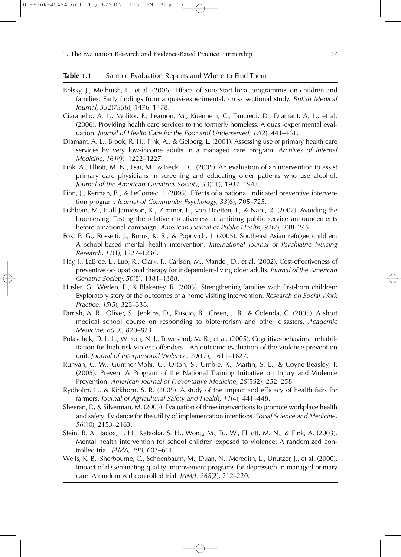#### **Table 1.1** Sample Evaluation Reports and Where to Find Them

- Belsky, J., Melhuish, E., et al. (2006). Effects of Sure Start local programmes on children and families: Early findings from a quasi-experimental, cross sectional study. *British Medical Journal, 332*(7556), 1476–1478.
- Ciaranello, A. L., Molitor, F., Leamon, M., Kuenneth, C., Tancredi, D., Diamant, A. L., et al. (2006). Providing health care services to the formerly homeless: A quasi-experimental evaluation. *Journal of Health Care for the Poor and Underserved, 17*(2), 441–461.
- Diamant, A. L., Brook, R. H., Fink, A., & Gelberg, L. (2001). Assessing use of primary health care services by very low-income adults in a managed care program. *Archives of Internal Medicine, 161*(9), 1222–1227.
- Fink, A., Elliott, M. N., Tsai, M., & Beck, J. C. (2005). An evaluation of an intervention to assist primary care physicians in screening and educating older patients who use alcohol. *Journal of the American Geriatrics Society, 53*(11), 1937–1943.
- Finn, J., Kerman, B., & LeCornec, J. (2005). Effects of a national indicated preventive intervention program. *Journal of Community Psychology, 33*(6), 705–725.
- Fishbein, M., Hall-Jamieson, K., Zimmer, E., von Haeften, I., & Nabi, R. (2002). Avoiding the boomerang: Testing the relative effectiveness of antidrug public service announcements before a national campaign. *American Journal of Public Health, 92*(2), 238–245.
- Fox, P. G., Rossetti, J., Burns, K. R., & Popovich, J. (2005). Southeast Asian refugee children: A school-based mental health intervention. *International Journal of Psychiatric Nursing Research, 11*(1), 1227–1236.
- Hay, J., LaBree, L., Luo, R., Clark, F., Carlson, M., Mandel, D., et al. (2002). Cost-effectiveness of preventive occupational therapy for independent-living older adults. *Journal of the American Geriatric Society, 50*(8), 1381–1388.
- Husler, G., Werlen, E., & Blakeney, R. (2005). Strengthening families with first-born children: Exploratory story of the outcomes of a home visiting intervention. *Research on Social Work Practice, 15*(5), 323–338.
- Parrish, A. R., Oliver, S., Jenkins, D., Ruscio, B., Green, J. B., & Colenda, C. (2005). A short medical school course on responding to bioterrorism and other disasters. *Academic Medicine, 80*(9), 820–823.
- Polaschek, D. L. L., Wilson, N. J., Townsend, M. R., et al. (2005). Cognitive-behavioral rehabilitation for high-risk violent offenders—An outcome evaluation of the violence prevention unit. *Journal of Interpersonal Violence, 20*(12), 1611–1627.
- Runyan, C. W., Gunther-Mohr, C., Orton, S., Umble, K., Martin, S. L., & Coyne-Beasley, T. (2005). Prevent A Program of the National Training Initiative on Injury and Violence Prevention. *American Journal of Preventative Medicine, 29*(5S2), 252–258.
- Rydholm, L., & Kirkhorn, S. R. (2005). A study of the impact and efficacy of health fairs for farmers. *Journal of Agricultural Safety and Health, 11*(4), 441–448.
- Sheeran, P., & Silverman, M. (2003). Evaluation of three interventions to promote workplace health and safety: Evidence for the utility of implementation intentions. *Social Science and Medicine, 56*(10), 2153–2163.
- Stein, B. A., Jacox, L. H., Kataoka, S. H., Wong, M., Tu, W., Elliott, M. N., & Fink, A. (2003). Mental health intervention for school children exposed to violence: A randomized controlled trial. *JAMA, 290*, 603–611.
- Wells, K. B., Sherbourne, C., Schoenbaum, M., Duan, N., Meredith, L., Unutzer, J., et al. (2000). Impact of disseminating quality improvement programs for depression in managed primary care: A randomized controlled trial. *JAMA, 268*(2), 212–220.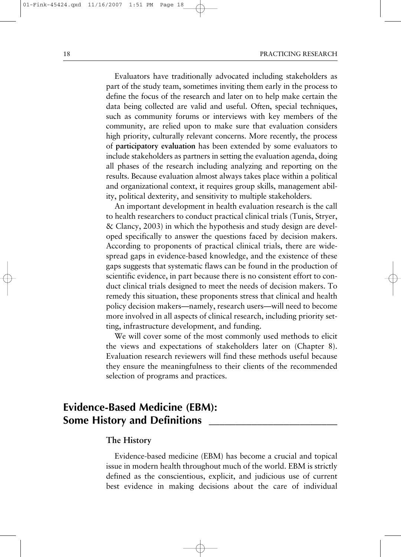#### 18 PRACTICING RESEARCH

Evaluators have traditionally advocated including stakeholders as part of the study team, sometimes inviting them early in the process to define the focus of the research and later on to help make certain the data being collected are valid and useful. Often, special techniques, such as community forums or interviews with key members of the community, are relied upon to make sure that evaluation considers high priority, culturally relevant concerns. More recently, the process of **participatory evaluation** has been extended by some evaluators to include stakeholders as partners in setting the evaluation agenda, doing all phases of the research including analyzing and reporting on the results. Because evaluation almost always takes place within a political and organizational context, it requires group skills, management ability, political dexterity, and sensitivity to multiple stakeholders.

An important development in health evaluation research is the call to health researchers to conduct practical clinical trials (Tunis, Stryer, & Clancy, 2003) in which the hypothesis and study design are developed specifically to answer the questions faced by decision makers. According to proponents of practical clinical trials, there are widespread gaps in evidence-based knowledge, and the existence of these gaps suggests that systematic flaws can be found in the production of scientific evidence, in part because there is no consistent effort to conduct clinical trials designed to meet the needs of decision makers. To remedy this situation, these proponents stress that clinical and health policy decision makers—namely, research users—will need to become more involved in all aspects of clinical research, including priority setting, infrastructure development, and funding.

We will cover some of the most commonly used methods to elicit the views and expectations of stakeholders later on (Chapter 8). Evaluation research reviewers will find these methods useful because they ensure the meaningfulness to their clients of the recommended selection of programs and practices.

# **Evidence-Based Medicine (EBM): Some History and Definitions \_\_\_\_\_\_\_\_\_\_\_\_\_\_\_\_\_\_\_\_\_\_\_\_**

### **The History**

Evidence-based medicine (EBM) has become a crucial and topical issue in modern health throughout much of the world. EBM is strictly defined as the conscientious, explicit, and judicious use of current best evidence in making decisions about the care of individual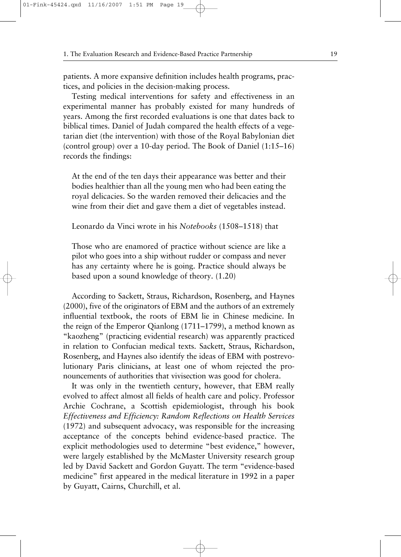patients. A more expansive definition includes health programs, practices, and policies in the decision-making process.

Testing medical interventions for safety and effectiveness in an experimental manner has probably existed for many hundreds of years. Among the first recorded evaluations is one that dates back to biblical times. Daniel of Judah compared the health effects of a vegetarian diet (the intervention) with those of the Royal Babylonian diet (control group) over a 10-day period. The Book of Daniel (1:15–16) records the findings:

At the end of the ten days their appearance was better and their bodies healthier than all the young men who had been eating the royal delicacies. So the warden removed their delicacies and the wine from their diet and gave them a diet of vegetables instead.

Leonardo da Vinci wrote in his *Notebooks* (1508–1518) that

Those who are enamored of practice without science are like a pilot who goes into a ship without rudder or compass and never has any certainty where he is going. Practice should always be based upon a sound knowledge of theory. (1.20)

According to Sackett, Straus, Richardson, Rosenberg, and Haynes (2000), five of the originators of EBM and the authors of an extremely influential textbook, the roots of EBM lie in Chinese medicine. In the reign of the Emperor Qianlong (1711–1799), a method known as "kaozheng" (practicing evidential research) was apparently practiced in relation to Confucian medical texts. Sackett, Straus, Richardson, Rosenberg, and Haynes also identify the ideas of EBM with postrevolutionary Paris clinicians, at least one of whom rejected the pronouncements of authorities that vivisection was good for cholera.

It was only in the twentieth century, however, that EBM really evolved to affect almost all fields of health care and policy. Professor Archie Cochrane, a Scottish epidemiologist, through his book *Effectiveness and Efficiency: Random Reflections on Health Services* (1972) and subsequent advocacy, was responsible for the increasing acceptance of the concepts behind evidence-based practice. The explicit methodologies used to determine "best evidence," however, were largely established by the McMaster University research group led by David Sackett and Gordon Guyatt. The term "evidence-based medicine" first appeared in the medical literature in 1992 in a paper by Guyatt, Cairns, Churchill, et al.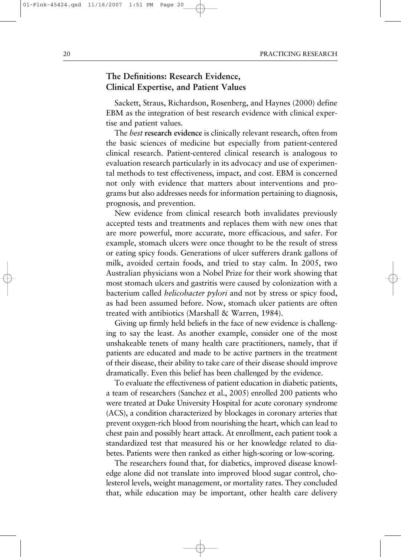### **The Definitions: Research Evidence, Clinical Expertise, and Patient Values**

Sackett, Straus, Richardson, Rosenberg, and Haynes (2000) define EBM as the integration of best research evidence with clinical expertise and patient values.

The *best* **research evidence** is clinically relevant research, often from the basic sciences of medicine but especially from patient-centered clinical research. Patient-centered clinical research is analogous to evaluation research particularly in its advocacy and use of experimental methods to test effectiveness, impact, and cost. EBM is concerned not only with evidence that matters about interventions and programs but also addresses needs for information pertaining to diagnosis, prognosis, and prevention.

New evidence from clinical research both invalidates previously accepted tests and treatments and replaces them with new ones that are more powerful, more accurate, more efficacious, and safer. For example, stomach ulcers were once thought to be the result of stress or eating spicy foods. Generations of ulcer sufferers drank gallons of milk, avoided certain foods, and tried to stay calm. In 2005, two Australian physicians won a Nobel Prize for their work showing that most stomach ulcers and gastritis were caused by colonization with a bacterium called *helicobacter pylori* and not by stress or spicy food, as had been assumed before. Now, stomach ulcer patients are often treated with antibiotics (Marshall & Warren, 1984).

Giving up firmly held beliefs in the face of new evidence is challenging to say the least. As another example, consider one of the most unshakeable tenets of many health care practitioners, namely, that if patients are educated and made to be active partners in the treatment of their disease, their ability to take care of their disease should improve dramatically. Even this belief has been challenged by the evidence.

To evaluate the effectiveness of patient education in diabetic patients, a team of researchers (Sanchez et al., 2005) enrolled 200 patients who were treated at Duke University Hospital for acute coronary syndrome (ACS), a condition characterized by blockages in coronary arteries that prevent oxygen-rich blood from nourishing the heart, which can lead to chest pain and possibly heart attack. At enrollment, each patient took a standardized test that measured his or her knowledge related to diabetes. Patients were then ranked as either high-scoring or low-scoring.

The researchers found that, for diabetics, improved disease knowledge alone did not translate into improved blood sugar control, cholesterol levels, weight management, or mortality rates. They concluded that, while education may be important, other health care delivery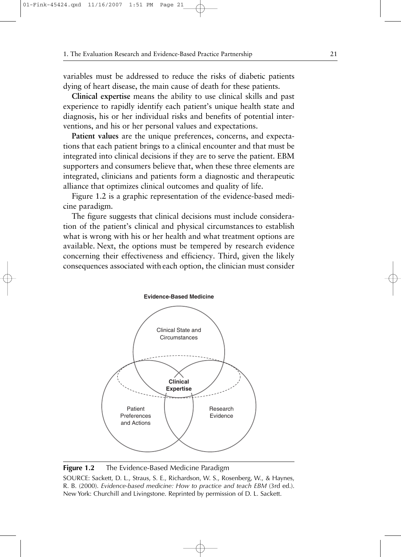

variables must be addressed to reduce the risks of diabetic patients dying of heart disease, the main cause of death for these patients.

**Clinical expertise** means the ability to use clinical skills and past experience to rapidly identify each patient's unique health state and diagnosis, his or her individual risks and benefits of potential interventions, and his or her personal values and expectations.

**Patient values** are the unique preferences, concerns, and expectations that each patient brings to a clinical encounter and that must be integrated into clinical decisions if they are to serve the patient. EBM supporters and consumers believe that, when these three elements are integrated, clinicians and patients form a diagnostic and therapeutic alliance that optimizes clinical outcomes and quality of life.

Figure 1.2 is a graphic representation of the evidence-based medicine paradigm.

The figure suggests that clinical decisions must include consideration of the patient's clinical and physical circumstances to establish what is wrong with his or her health and what treatment options are available. Next, the options must be tempered by research evidence concerning their effectiveness and efficiency. Third, given the likely consequences associated with each option, the clinician must consider

#### **Evidence-Based Medicine**



#### **Figure 1.2** The Evidence-Based Medicine Paradigm

SOURCE: Sackett, D. L., Straus, S. E., Richardson, W. S., Rosenberg, W., & Haynes, R. B. (2000). *Evidence-based medicine: How to practice and teach EBM* (3rd ed.). New York: Churchill and Livingstone. Reprinted by permission of D. L. Sackett.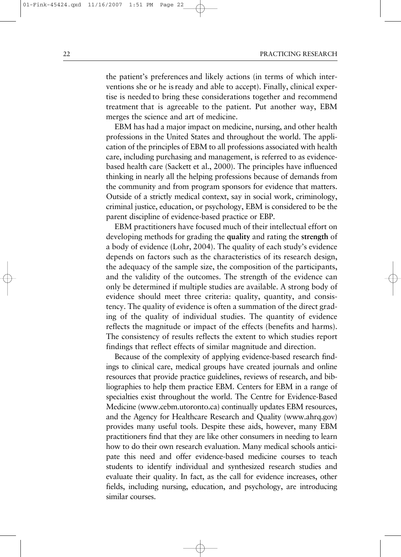the patient's preferences and likely actions (in terms of which interventions she or he is ready and able to accept). Finally, clinical expertise is needed to bring these considerations together and recommend treatment that is agreeable to the patient. Put another way, EBM merges the science and art of medicine.

EBM has had a major impact on medicine, nursing, and other health professions in the United States and throughout the world. The application of the principles of EBM to all professions associated with health care, including purchasing and management, is referred to as evidencebased health care (Sackett et al., 2000). The principles have influenced thinking in nearly all the helping professions because of demands from the community and from program sponsors for evidence that matters. Outside of a strictly medical context, say in social work, criminology, criminal justice, education, or psychology, EBM is considered to be the parent discipline of evidence-based practice or EBP.

EBM practitioners have focused much of their intellectual effort on developing methods for grading the **quality** and rating the **strength** of a body of evidence (Lohr, 2004). The quality of each study's evidence depends on factors such as the characteristics of its research design, the adequacy of the sample size, the composition of the participants, and the validity of the outcomes. The strength of the evidence can only be determined if multiple studies are available. A strong body of evidence should meet three criteria: quality, quantity, and consistency. The quality of evidence is often a summation of the direct grading of the quality of individual studies. The quantity of evidence reflects the magnitude or impact of the effects (benefits and harms). The consistency of results reflects the extent to which studies report findings that reflect effects of similar magnitude and direction.

Because of the complexity of applying evidence-based research findings to clinical care, medical groups have created journals and online resources that provide practice guidelines, reviews of research, and bibliographies to help them practice EBM. Centers for EBM in a range of specialties exist throughout the world. The Centre for Evidence-Based Medicine (www.cebm.utoronto.ca) continually updates EBM resources, and the Agency for Healthcare Research and Quality (www.ahrq.gov) provides many useful tools. Despite these aids, however, many EBM practitioners find that they are like other consumers in needing to learn how to do their own research evaluation. Many medical schools anticipate this need and offer evidence-based medicine courses to teach students to identify individual and synthesized research studies and evaluate their quality. In fact, as the call for evidence increases, other fields, including nursing, education, and psychology, are introducing similar courses.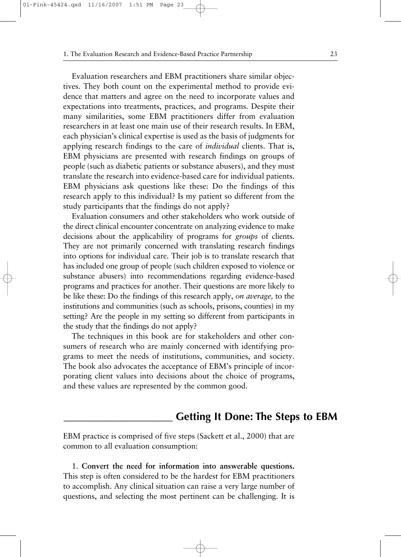

Evaluation researchers and EBM practitioners share similar objectives. They both count on the experimental method to provide evidence that matters and agree on the need to incorporate values and expectations into treatments, practices, and programs. Despite their many similarities, some EBM practitioners differ from evaluation researchers in at least one main use of their research results. In EBM, each physician's clinical expertise is used as the basis of judgments for applying research findings to the care of *individual* clients. That is, EBM physicians are presented with research findings on groups of people (such as diabetic patients or substance abusers), and they must translate the research into evidence-based care for individual patients. EBM physicians ask questions like these: Do the findings of this research apply to this individual? Is my patient so different from the study participants that the findings do not apply?

Evaluation consumers and other stakeholders who work outside of the direct clinical encounter concentrate on analyzing evidence to make decisions about the applicability of programs for *groups* of clients. They are not primarily concerned with translating research findings into options for individual care. Their job is to translate research that has included one group of people (such children exposed to violence or substance abusers) into recommendations regarding evidence-based programs and practices for another. Their questions are more likely to be like these: Do the findings of this research apply, *on average,* to the institutions and communities (such as schools, prisons, counties) in my setting? Are the people in my setting so different from participants in the study that the findings do not apply?

The techniques in this book are for stakeholders and other consumers of research who are mainly concerned with identifying programs to meet the needs of institutions, communities, and society. The book also advocates the acceptance of EBM's principle of incorporating client values into decisions about the choice of programs, and these values are represented by the common good.

**\_\_\_\_\_\_\_\_\_\_\_\_\_\_\_\_\_\_\_\_\_ Getting It Done: The Steps to EBM**

EBM practice is comprised of five steps (Sackett et al., 2000) that are common to all evaluation consumption:

1. **Convert the need for information into answerable questions.** This step is often considered to be the hardest for EBM practitioners to accomplish. Any clinical situation can raise a very large number of questions, and selecting the most pertinent can be challenging. It is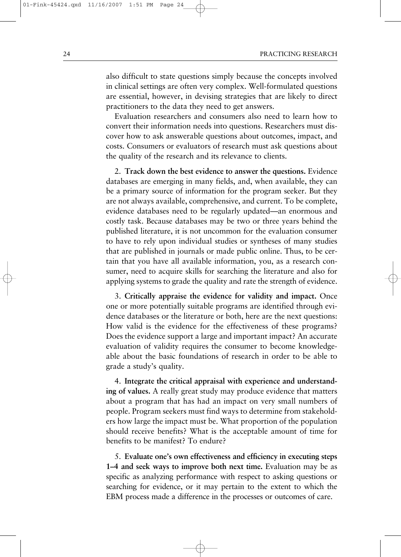also difficult to state questions simply because the concepts involved in clinical settings are often very complex. Well-formulated questions are essential, however, in devising strategies that are likely to direct practitioners to the data they need to get answers.

Evaluation researchers and consumers also need to learn how to convert their information needs into questions. Researchers must discover how to ask answerable questions about outcomes, impact, and costs. Consumers or evaluators of research must ask questions about the quality of the research and its relevance to clients.

2. **Track down the best evidence to answer the questions.** Evidence databases are emerging in many fields, and, when available, they can be a primary source of information for the program seeker. But they are not always available, comprehensive, and current. To be complete, evidence databases need to be regularly updated—an enormous and costly task. Because databases may be two or three years behind the published literature, it is not uncommon for the evaluation consumer to have to rely upon individual studies or syntheses of many studies that are published in journals or made public online. Thus, to be certain that you have all available information, you, as a research consumer, need to acquire skills for searching the literature and also for applying systems to grade the quality and rate the strength of evidence.

3. **Critically appraise the evidence for validity and impact.** Once one or more potentially suitable programs are identified through evidence databases or the literature or both, here are the next questions: How valid is the evidence for the effectiveness of these programs? Does the evidence support a large and important impact? An accurate evaluation of validity requires the consumer to become knowledgeable about the basic foundations of research in order to be able to grade a study's quality.

4. **Integrate the critical appraisal with experience and understanding of values.** A really great study may produce evidence that matters about a program that has had an impact on very small numbers of people. Program seekers must find ways to determine from stakeholders how large the impact must be. What proportion of the population should receive benefits? What is the acceptable amount of time for benefits to be manifest? To endure?

5. **Evaluate one's own effectiveness and efficiency in executing steps 1–4 and seek ways to improve both next time.** Evaluation may be as specific as analyzing performance with respect to asking questions or searching for evidence, or it may pertain to the extent to which the EBM process made a difference in the processes or outcomes of care.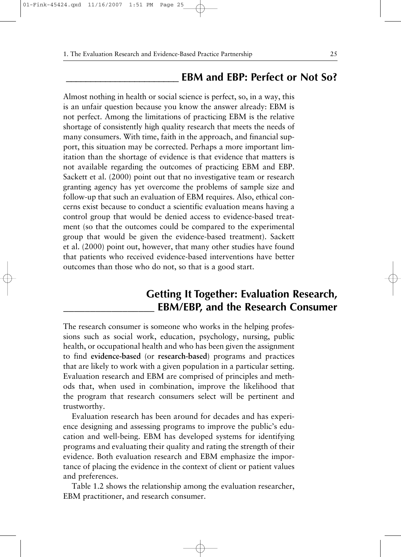01-Fink-45424.qxd 11/16/2007 1:51

# **\_\_\_\_\_\_\_\_\_\_\_\_\_\_\_\_\_\_\_\_\_\_\_ EBM and EBP: Perfect or Not So?**

Almost nothing in health or social science is perfect, so, in a way, this is an unfair question because you know the answer already: EBM is not perfect. Among the limitations of practicing EBM is the relative shortage of consistently high quality research that meets the needs of many consumers. With time, faith in the approach, and financial support, this situation may be corrected. Perhaps a more important limitation than the shortage of evidence is that evidence that matters is not available regarding the outcomes of practicing EBM and EBP. Sackett et al. (2000) point out that no investigative team or research granting agency has yet overcome the problems of sample size and follow-up that such an evaluation of EBM requires. Also, ethical concerns exist because to conduct a scientific evaluation means having a control group that would be denied access to evidence-based treatment (so that the outcomes could be compared to the experimental group that would be given the evidence-based treatment). Sackett et al. (2000) point out, however, that many other studies have found that patients who received evidence-based interventions have better outcomes than those who do not, so that is a good start.

# **Getting It Together: Evaluation Research, \_\_\_\_\_\_\_\_\_\_\_\_\_\_\_\_\_ EBM/EBP, and the Research Consumer**

The research consumer is someone who works in the helping professions such as social work, education, psychology, nursing, public health, or occupational health and who has been given the assignment to find **evidence-based** (or **research-based**) programs and practices that are likely to work with a given population in a particular setting. Evaluation research and EBM are comprised of principles and methods that, when used in combination, improve the likelihood that the program that research consumers select will be pertinent and trustworthy.

Evaluation research has been around for decades and has experience designing and assessing programs to improve the public's education and well-being. EBM has developed systems for identifying programs and evaluating their quality and rating the strength of their evidence. Both evaluation research and EBM emphasize the importance of placing the evidence in the context of client or patient values and preferences.

Table 1.2 shows the relationship among the evaluation researcher, EBM practitioner, and research consumer.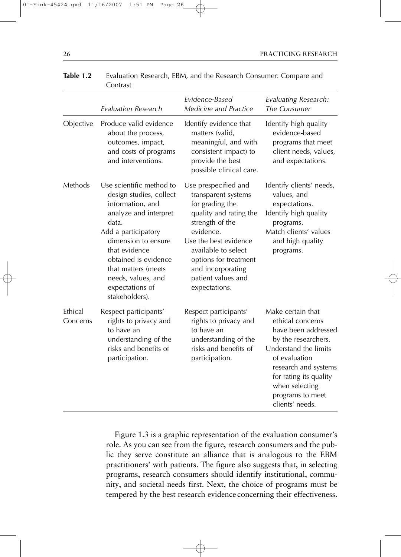|                     | Contrast                                                                                                                                                                                                                                                                           |                                                                                                                                                                                                                                                               |                                                                                                                                                                                                                                          |
|---------------------|------------------------------------------------------------------------------------------------------------------------------------------------------------------------------------------------------------------------------------------------------------------------------------|---------------------------------------------------------------------------------------------------------------------------------------------------------------------------------------------------------------------------------------------------------------|------------------------------------------------------------------------------------------------------------------------------------------------------------------------------------------------------------------------------------------|
|                     | <b>Evaluation Research</b>                                                                                                                                                                                                                                                         | Evidence-Based<br>Medicine and Practice                                                                                                                                                                                                                       | <b>Evaluating Research:</b><br>The Consumer                                                                                                                                                                                              |
| Objective           | Produce valid evidence<br>about the process,<br>outcomes, impact,<br>and costs of programs<br>and interventions.                                                                                                                                                                   | Identify evidence that<br>matters (valid,<br>meaningful, and with<br>consistent impact) to<br>provide the best<br>possible clinical care.                                                                                                                     | Identify high quality<br>evidence-based<br>programs that meet<br>client needs, values,<br>and expectations.                                                                                                                              |
| Methods             | Use scientific method to<br>design studies, collect<br>information, and<br>analyze and interpret<br>data.<br>Add a participatory<br>dimension to ensure<br>that evidence<br>obtained is evidence<br>that matters (meets<br>needs, values, and<br>expectations of<br>stakeholders). | Use prespecified and<br>transparent systems<br>for grading the<br>quality and rating the<br>strength of the<br>evidence.<br>Use the best evidence<br>available to select<br>options for treatment<br>and incorporating<br>patient values and<br>expectations. | Identify clients' needs,<br>values, and<br>expectations.<br>Identify high quality<br>programs.<br>Match clients' values<br>and high quality<br>programs.                                                                                 |
| Ethical<br>Concerns | Respect participants'<br>rights to privacy and<br>to have an<br>understanding of the<br>risks and benefits of<br>participation.                                                                                                                                                    | Respect participants'<br>rights to privacy and<br>to have an<br>understanding of the<br>risks and benefits of<br>participation.                                                                                                                               | Make certain that<br>ethical concerns<br>have been addressed<br>by the researchers.<br>Understand the limits<br>of evaluation<br>research and systems<br>for rating its quality<br>when selecting<br>programs to meet<br>clients' needs. |

# **Table 1.2** Evaluation Research, EBM, and the Research Consumer: Compare and

Figure 1.3 is a graphic representation of the evaluation consumer's role. As you can see from the figure, research consumers and the public they serve constitute an alliance that is analogous to the EBM practitioners' with patients. The figure also suggests that, in selecting programs, research consumers should identify institutional, community, and societal needs first. Next, the choice of programs must be tempered by the best research evidence concerning their effectiveness.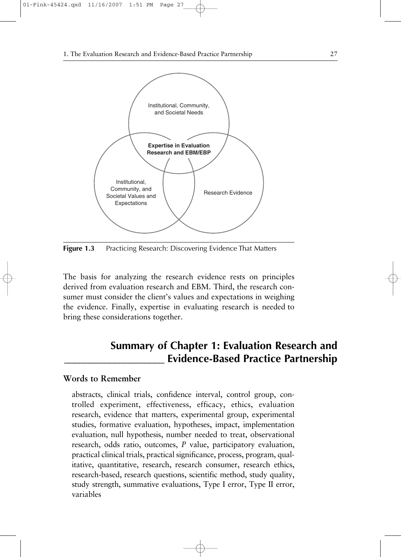





**Figure 1.3** Practicing Research: Discovering Evidence That Matters

The basis for analyzing the research evidence rests on principles derived from evaluation research and EBM. Third, the research consumer must consider the client's values and expectations in weighing the evidence. Finally, expertise in evaluating research is needed to bring these considerations together.

# **Summary of Chapter 1: Evaluation Research and \_\_\_\_\_\_\_\_\_\_\_\_\_\_\_\_\_\_\_\_ Evidence-Based Practice Partnership**

### **Words to Remember**

abstracts, clinical trials, confidence interval, control group, controlled experiment, effectiveness, efficacy, ethics, evaluation research, evidence that matters, experimental group, experimental studies, formative evaluation, hypotheses, impact, implementation evaluation, null hypothesis, number needed to treat, observational research, odds ratio, outcomes, *P* value, participatory evaluation, practical clinical trials, practical significance, process, program, qualitative, quantitative, research, research consumer, research ethics, research-based, research questions, scientific method, study quality, study strength, summative evaluations, Type I error, Type II error, variables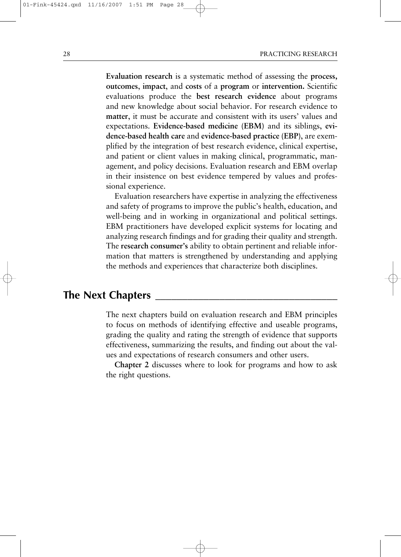**Evaluation research** is a systematic method of assessing the **process, outcomes**, **impact**, and **costs** of a **program** or **intervention.** Scientific evaluations produce the **best research evidence** about programs and new knowledge about social behavior. For research evidence to **matter**, it must be accurate and consistent with its users' values and expectations. **Evidence-based medicine (EBM)** and its siblings, **evidence-based health care** and **evidence-based practice (EBP)**, are exemplified by the integration of best research evidence, clinical expertise, and patient or client values in making clinical, programmatic, management, and policy decisions. Evaluation research and EBM overlap in their insistence on best evidence tempered by values and professional experience.

Evaluation researchers have expertise in analyzing the effectiveness and safety of programs to improve the public's health, education, and well-being and in working in organizational and political settings. EBM practitioners have developed explicit systems for locating and analyzing research findings and for grading their quality and strength. The **research consumer's** ability to obtain pertinent and reliable information that matters is strengthened by understanding and applying the methods and experiences that characterize both disciplines.

# **The Next Chapters**

The next chapters build on evaluation research and EBM principles to focus on methods of identifying effective and useable programs, grading the quality and rating the strength of evidence that supports effectiveness, summarizing the results, and finding out about the values and expectations of research consumers and other users.

**Chapter 2** discusses where to look for programs and how to ask the right questions.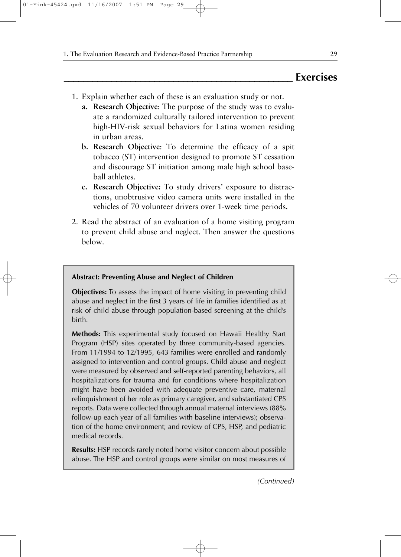

# **\_\_\_\_\_\_\_\_\_\_\_\_\_\_\_\_\_\_\_\_\_\_\_\_\_\_\_\_\_\_\_\_\_\_\_\_\_\_\_\_\_\_\_\_\_\_\_\_ Exercises**

- 1. Explain whether each of these is an evaluation study or not.
	- **a. Research Objective**: The purpose of the study was to evaluate a randomized culturally tailored intervention to prevent high-HIV-risk sexual behaviors for Latina women residing in urban areas.
	- **b. Research Objective**: To determine the efficacy of a spit tobacco (ST) intervention designed to promote ST cessation and discourage ST initiation among male high school baseball athletes.
	- **c. Research Objective:** To study drivers' exposure to distractions, unobtrusive video camera units were installed in the vehicles of 70 volunteer drivers over 1-week time periods.
- 2. Read the abstract of an evaluation of a home visiting program to prevent child abuse and neglect. Then answer the questions below.

### **Abstract: Preventing Abuse and Neglect of Children**

**Objectives:** To assess the impact of home visiting in preventing child abuse and neglect in the first 3 years of life in families identified as at risk of child abuse through population-based screening at the child's birth.

**Methods:** This experimental study focused on Hawaii Healthy Start Program (HSP) sites operated by three community-based agencies. From 11/1994 to 12/1995, 643 families were enrolled and randomly assigned to intervention and control groups. Child abuse and neglect were measured by observed and self-reported parenting behaviors, all hospitalizations for trauma and for conditions where hospitalization might have been avoided with adequate preventive care, maternal relinquishment of her role as primary caregiver, and substantiated CPS reports. Data were collected through annual maternal interviews (88% follow-up each year of all families with baseline interviews); observation of the home environment; and review of CPS, HSP, and pediatric medical records.

**Results:** HSP records rarely noted home visitor concern about possible abuse. The HSP and control groups were similar on most measures of

*(Continued)*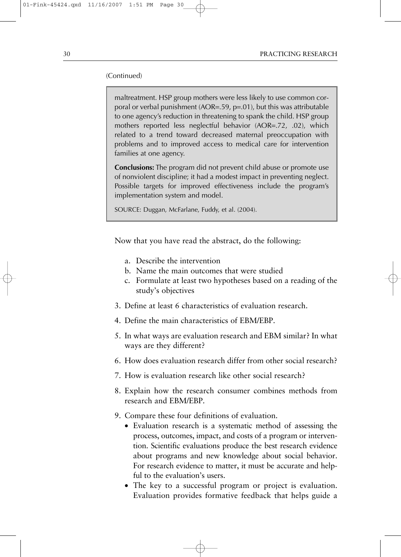(Continued)

maltreatment. HSP group mothers were less likely to use common corporal or verbal punishment (AOR=.59, p=.01), but this was attributable to one agency's reduction in threatening to spank the child. HSP group mothers reported less neglectful behavior (AOR=.72, .02), which related to a trend toward decreased maternal preoccupation with problems and to improved access to medical care for intervention families at one agency.

**Conclusions:** The program did not prevent child abuse or promote use of nonviolent discipline; it had a modest impact in preventing neglect. Possible targets for improved effectiveness include the program's implementation system and model.

SOURCE: Duggan, McFarlane, Fuddy, et al. (2004).

Now that you have read the abstract, do the following:

- a. Describe the intervention
- b. Name the main outcomes that were studied
- c. Formulate at least two hypotheses based on a reading of the study's objectives
- 3. Define at least 6 characteristics of evaluation research.
- 4. Define the main characteristics of EBM/EBP.
- 5. In what ways are evaluation research and EBM similar? In what ways are they different?
- 6. How does evaluation research differ from other social research?
- 7. How is evaluation research like other social research?
- 8. Explain how the research consumer combines methods from research and EBM/EBP.
- 9. Compare these four definitions of evaluation.
	- Evaluation research is a systematic method of assessing the process, outcomes, impact, and costs of a program or intervention. Scientific evaluations produce the best research evidence about programs and new knowledge about social behavior. For research evidence to matter, it must be accurate and helpful to the evaluation's users.
	- The key to a successful program or project is evaluation. Evaluation provides formative feedback that helps guide a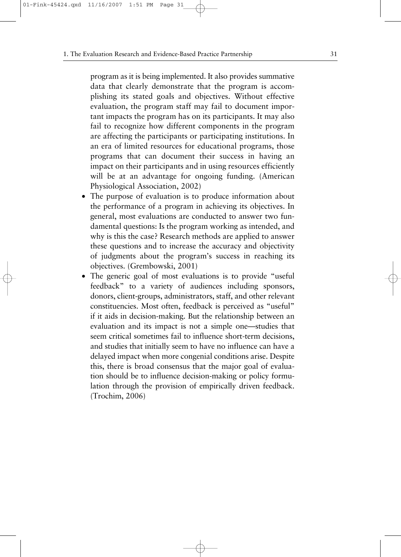

program as it is being implemented. It also provides summative data that clearly demonstrate that the program is accomplishing its stated goals and objectives. Without effective evaluation, the program staff may fail to document important impacts the program has on its participants. It may also fail to recognize how different components in the program are affecting the participants or participating institutions. In an era of limited resources for educational programs, those programs that can document their success in having an impact on their participants and in using resources efficiently will be at an advantage for ongoing funding. (American Physiological Association, 2002)

- The purpose of evaluation is to produce information about the performance of a program in achieving its objectives. In general, most evaluations are conducted to answer two fundamental questions: Is the program working as intended, and why is this the case? Research methods are applied to answer these questions and to increase the accuracy and objectivity of judgments about the program's success in reaching its objectives. (Grembowski, 2001)
- The generic goal of most evaluations is to provide "useful" feedback" to a variety of audiences including sponsors, donors, client-groups, administrators, staff, and other relevant constituencies. Most often, feedback is perceived as "useful" if it aids in decision-making. But the relationship between an evaluation and its impact is not a simple one—studies that seem critical sometimes fail to influence short-term decisions, and studies that initially seem to have no influence can have a delayed impact when more congenial conditions arise. Despite this, there is broad consensus that the major goal of evaluation should be to influence decision-making or policy formulation through the provision of empirically driven feedback. (Trochim, 2006)